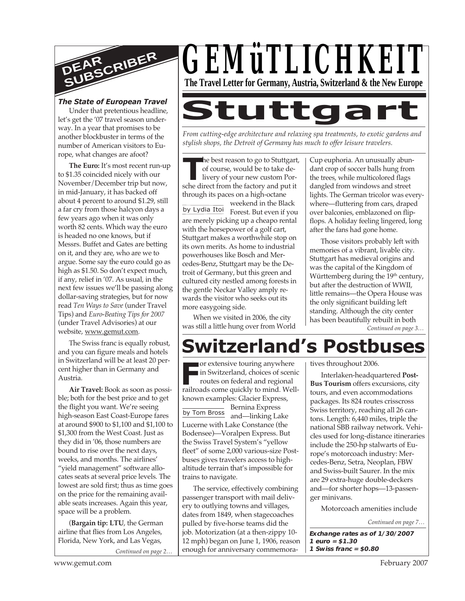

#### *The State of European Travel*

Under that pretentious headline, let's get the '07 travel season underway. In a year that promises to be another blockbuster in terms of the number of American visitors to Europe, what changes are afoot?

**The Euro:** It's most recent run-up to \$1.35 coincided nicely with our November/December trip but now, in mid-January, it has backed off about 4 percent to around \$1.29, still a far cry from those halcyon days a few years ago when it was only worth 82 cents. Which way the euro is headed no one knows, but if Messrs. Buffet and Gates are betting on it, and they are, who are we to argue. Some say the euro could go as high as \$1.50. So don't expect much, if any, relief in '07. As usual, in the next few issues we'll be passing along dollar-saving strategies, but for now read *Ten Ways to Save* (under Travel Tips) and *Euro-Beating Tips for 2007* (under Travel Advisories) at our website, www.gemut.com.

The Swiss franc is equally robust, and you can figure meals and hotels in Switzerland will be at least 20 percent higher than in Germany and Austria.

**Air Travel:** Book as soon as possible; both for the best price and to get the flight you want. We're seeing high-season East Coast-Europe fares at around \$900 to \$1,100 and \$1,100 to \$1,300 from the West Coast. Just as they did in '06, those numbers are bound to rise over the next days, weeks, and months. The airlines' "yield management" software allocates seats at several price levels. The lowest are sold first; thus as time goes on the price for the remaining available seats increases. Again this year, space will be a problem.

(**Bargain tip: LTU**, the German airline that flies from Los Angeles, Florida, New York, and Las Vegas,

*Continued on page 2…*



*From cutting-edge architecture and relaxing spa treatments, to exotic gardens and stylish shops, the Detroit of Germany has much to offer leisure travelers.*

**THE SCHEF FROM THE SCHEF SCHEF OF SCHEF AND SCHEF SCHEF SCHEF SCHEF SCHEF SCHEF SCHEF SCHEF SCHEF SCHEF SCHEF SCHEF SCHEF SCHEF SCHEF SCHEF SCHEF SCHEF SCHEF SCHEF SCHEF SCHEF SCHEF SCHEF SCHEF SCHEF SCHEF SCHEF SCHEF SCH**  $\blacksquare$  he best reason to go to Stuttgart, of course, would be to take delivery of your new custom Porthrough its paces on a high-octane

by Lydia Itoi weekend in the Black Forest. But even if you are merely picking up a cheapo rental with the horsepower of a golf cart, Stuttgart makes a worthwhile stop on its own merits. As home to industrial powerhouses like Bosch and Mercedes-Benz, Stuttgart may be the Detroit of Germany, but this green and cultured city nestled among forests in the gentle Neckar Valley amply rewards the visitor who seeks out its more easygoing side.

When we visited in 2006, the city was still a little hung over from World Cup euphoria. An unusually abundant crop of soccer balls hung from the trees, while multicolored flags dangled from windows and street lights. The German tricolor was everywhere—fluttering from cars, draped over balconies, emblazoned on flipflops. A holiday feeling lingered, long after the fans had gone home.

Those visitors probably left with memories of a vibrant, livable city. Stuttgart has medieval origins and was the capital of the Kingdom of Württemberg during the  $19<sup>th</sup>$  century, but after the destruction of WWII, little remains—the Opera House was the only significant building left standing. Although the city center has been beautifully rebuilt in both

*Continued on page 3…*

# **Switzerland's Postbuses**

Frailroads come quickly to mind. Well-<br> **Frailroads** come quickly to mind. Wellby Tom Bross or extensive touring anywhere in Switzerland, choices of scenic routes on federal and regional known examples: Glacier Express, Bernina Express and—linking Lake Lucerne with Lake Constance (the Bodensee)—Voralpen Express. But the Swiss Travel System's "yellow fleet" of some 2,000 various-size Postbuses gives travelers access to highaltitude terrain that's impossible for trains to navigate.

The service, effectively combining passenger transport with mail delivery to outlying towns and villages, dates from 1849, when stagecoaches pulled by five-horse teams did the job. Motorization (at a then-zippy 10- 12 mph) began on June 1, 1906, reason enough for anniversary commemoratives throughout 2006.

Interlaken-headquartered **Post-Bus Tourism** offers excursions, city tours, and even accommodations packages. Its 824 routes crisscross Swiss territory, reaching all 26 cantons. Length: 6,440 miles, triple the national SBB railway network. Vehicles used for long-distance itineraries include the 250-hp stalwarts of Europe's motorcoach industry: Mercedes-Benz, Setra, Neoplan, FBW and Swiss-built Saurer. In the mix are 29 extra-huge double-deckers and—for shorter hops—13-passenger minivans.

Motorcoach amenities include

*Continued on page 7…*

**Exchange rates as of 1/30/2007 1 euro = \$1.30 1 Swiss franc = \$0.80**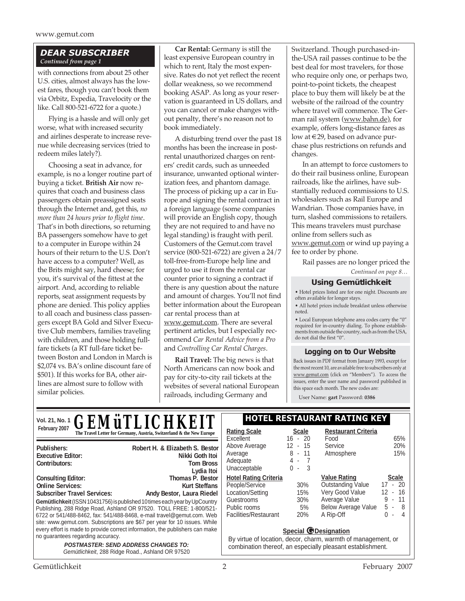www.gemut.com

#### *DEAR SUBSCRIBER Continued from page 1*

with connections from about 25 other U.S. cities, almost always has the lowest fares, though you can't book them via Orbitz, Expedia, Travelocity or the like. Call 800-521-6722 for a quote.)

Flying is a hassle and will only get worse, what with increased security and airlines desperate to increase revenue while decreasing services (tried to redeem miles lately?).

Choosing a seat in advance, for example, is no a longer routine part of buying a ticket. **British Air** now requires that coach and business class passengers obtain preassigned seats through the Internet and, get this, *no more than 24 hours prior to flight time*. That's in both directions, so returning BA passengers somehow have to get to a computer in Europe within 24 hours of their return to the U.S. Don't have access to a computer? Well, as the Brits might say, hard cheese; for you, it's survival of the fittest at the airport. And, according to reliable reports, seat assignment requests by phone are denied. This policy applies to all coach and business class passengers except BA Gold and Silver Executive Club members, families traveling with children, and those holding fullfare tickets (a RT full-fare ticket between Boston and London in March is \$2,074 vs. BA's online discount fare of \$501). If this works for BA, other airlines are almost sure to follow with similar policies.

**Car Rental:** Germany is still the least expensive European country in which to rent, Italy the most expensive. Rates do not yet reflect the recent dollar weakness, so we recommend booking ASAP. As long as your reservation is guaranteed in US dollars, and you can cancel or make changes without penalty, there's no reason not to book immediately.

A disturbing trend over the past 18 months has been the increase in postrental unauthorized charges on renters' credit cards, such as unneeded insurance, unwanted optional winterization fees, and phantom damage. The process of picking up a car in Europe and signing the rental contract in a foreign language (some companies will provide an English copy, though they are not required to and have no legal standing) is fraught with peril. Customers of the Gemut.com travel service (800-521-6722) are given a 24/7 toll-free-from-Europe help line and urged to use it from the rental car counter prior to signing a contract if there is any question about the nature and amount of charges. You'll not find better information about the European car rental process than at www.gemut.com. There are several pertinent articles, but I especially recommend *Car Rental Advice from a Pro* and *Controlling Car Rental Charges*.

**Rail Travel:** The big news is that North Americans can now book and pay for city-to-city rail tickets at the websites of several national European railroads, including Germany and

Switzerland. Though purchased-inthe-USA rail passes continue to be the best deal for most travelers, for those who require only one, or perhaps two, point-to-point tickets, the cheapest place to buy them will likely be at the website of the railroad of the country where travel will commence. The German rail system (www.bahn.de), for example, offers long-distance fares as low at €29, based on advance purchase plus restrictions on refunds and changes.

In an attempt to force customers to do their rail business online, European railroads, like the airlines, have substantially reduced commissions to U.S. wholesalers such as Rail Europe and Wandrian. Those companies have, in turn, slashed commissions to retailers. This means travelers must purchase online from sellers such as www.gemut.com or wind up paying a fee to order by phone.

Rail passes are no longer priced the *Continued on page 8…*

#### **Using Gemütlichkeit**

• Hotel prices listed are for one night. Discounts are often available for longer stays.

• All hotel prices include breakfast unless otherwise noted.

• Local European telephone area codes carry the "0" required for in-country dialing. To phone establishments from outside the country, such as from the USA, do not dial the first "0".

#### **Logging on to Our Website**

Back issues in PDF format from January 1993, except for the most recent 10, are available free to subscribers only at www.gemut.com (click on "Members"). To access the issues, enter the user name and password published in this space each month. The new codes are:

User Name: **gart** Password: **0386**

| GEMüTLICHKEIT<br>Vol. 21, No. 1                                                                                                                                                                                                                                                                                                                                                            | <b>HOTEL RESTAURANT RATING KEY</b>                                                                                                                         |                                                         |                                                                                                                         |                                                                                                                                                  |
|--------------------------------------------------------------------------------------------------------------------------------------------------------------------------------------------------------------------------------------------------------------------------------------------------------------------------------------------------------------------------------------------|------------------------------------------------------------------------------------------------------------------------------------------------------------|---------------------------------------------------------|-------------------------------------------------------------------------------------------------------------------------|--------------------------------------------------------------------------------------------------------------------------------------------------|
| February 2007<br>The Travel Letter for Germany, Austria, Switzerland & the New Europe                                                                                                                                                                                                                                                                                                      | <b>Rating Scale</b><br>Excellent                                                                                                                           | <b>Scale</b><br>$16 - 20$                               | <b>Restaurant Criteria</b><br>Food                                                                                      | 65%                                                                                                                                              |
| Robert H. & Elizabeth S. Bestor<br>Publishers:<br><b>Executive Editor:</b><br>Nikki Goth Itoi<br>Contributors:<br><b>Tom Bross</b><br>Lydia Itoi                                                                                                                                                                                                                                           | Above Average<br>Average<br>Adequate<br>Unacceptable                                                                                                       | 12<br>- 15<br>8<br>$-11$<br>$4 - 7$<br>$\Omega$<br>$-3$ | Service<br>Atmosphere                                                                                                   | 20%<br>15%                                                                                                                                       |
| Thomas P. Bestor<br><b>Consulting Editor:</b><br><b>Online Services:</b><br>Kurt Steffans<br><b>Subscriber Travel Services:</b><br>Andy Bestor, Laura Riedel<br>Gemütlichkeit (ISSN 10431756) is published 10 times each year by UpCountry<br>Publishing, 288 Ridge Road, Ashland OR 97520. TOLL FREE: 1-800/521-<br>6722 or 541/488-8462, fax: 541/488-8468, e-mail travel@gemut.com. Web | <b>Hotel Rating Criteria</b><br>People/Service<br>Location/Setting<br>Guestrooms<br>Public rooms<br>Facilities/Restaurant                                  | 30%<br>15%<br>30%<br>5%<br>20%                          | <b>Value Rating</b><br><b>Outstanding Value</b><br>Very Good Value<br>Average Value<br>Below Average Value<br>A Rip-Off | <b>Scale</b><br>$-20$<br>17<br>$-16$<br>12.<br>-11<br>9<br>٠<br>- 8<br>5<br>$\sim$<br><sup>n</sup><br>$\overline{4}$<br>$\overline{\phantom{a}}$ |
| site: www.gemut.com. Subscriptions are \$67 per year for 10 issues. While<br>every effort is made to provide correct information, the publishers can make<br>no guarantees regarding accuracy.<br><b>POSTMASTER: SEND ADDRESS CHANGES TO:</b><br>Gemütlichkeit, 288 Ridge Road., Ashland OR 97520                                                                                          | <b>Special @Designation</b><br>By virtue of location, decor, charm, warmth of management, or<br>combination thereof, an especially pleasant establishment. |                                                         |                                                                                                                         |                                                                                                                                                  |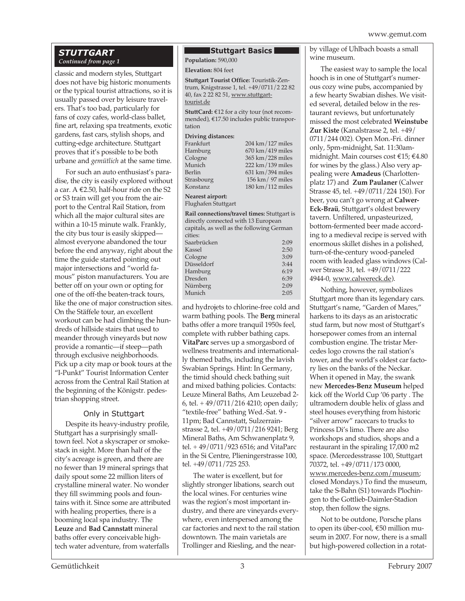## *STUTTGART Continued from page 1*

classic and modern styles, Stuttgart does not have big historic monuments or the typical tourist attractions, so it is usually passed over by leisure travelers. That's too bad, particularly for fans of cozy cafes, world-class ballet, fine art, relaxing spa treatments, exotic gardens, fast cars, stylish shops, and cutting-edge architecture. Stuttgart proves that it's possible to be both urbane and *gemütlich* at the same time.

For such an auto enthusiast's paradise, the city is easily explored without a car. A €2.50, half-hour ride on the S2 or S3 train will get you from the airport to the Central Rail Station, from which all the major cultural sites are within a 10-15 minute walk. Frankly, the city bus tour is easily skipped almost everyone abandoned the tour before the end anyway, right about the time the guide started pointing out major intersections and "world famous" piston manufacturers. You are better off on your own or opting for one of the off-the beaten-track tours, like the one of major construction sites. On the Stäffele tour, an excellent workout can be had climbing the hundreds of hillside stairs that used to meander through vineyards but now provide a romantic—if steep—path through exclusive neighborhoods. Pick up a city map or book tours at the "I-Punkt" Tourist Information Center across from the Central Rail Station at the beginning of the Königstr. pedestrian shopping street.

#### Only in Stuttgart

Despite its heavy-industry profile, Stuttgart has a surprisingly smalltown feel. Not a skyscraper or smokestack in sight. More than half of the city's acreage is green, and there are no fewer than 19 mineral springs that daily spout some 22 million liters of crystalline mineral water. No wonder they fill swimming pools and fountains with it. Since some are attributed with healing properties, there is a booming local spa industry. The **Leuze** and **Bad Cannstatt** mineral baths offer every conceivable hightech water adventure, from waterfalls

#### **Stuttgart Basics**

**Population:** 590,000

#### **Elevation:** 804 feet

**Stuttgart Tourist Office:** Touristik-Zentrum, Knigstrasse 1, tel. +49/0711/2 22 82 40, fax 2 22 82 51, www.stuttgarttourist.de

**StuttCard:** €12 for a city tour (not recommended), €17.50 includes public transportation

#### **Driving distances:**

| Frankfurt  | 204 km / 127 miles                   |
|------------|--------------------------------------|
| Hamburg    | $670 \text{ km}$ / 419 miles         |
| Cologne    | 365 km/228 miles                     |
| Munich     | $222 \text{ km} / 139 \text{ miles}$ |
| Berlin     | 631 km/394 miles                     |
| Strasbourg | 156 km / 97 miles                    |
| Konstanz   | $180 \text{ km} / 112 \text{ miles}$ |

#### **Nearest airport:**

Flughafen Stuttgart

**Rail connections/travel times:** Stuttgart is directly connected with 13 European capitals, as well as the following German

| cities:     |      |
|-------------|------|
| Saarbrücken | 2:09 |
| Kassel      | 2:50 |
| Cologne     | 3:09 |
| Düsseldorf  | 3:44 |
| Hamburg     | 6:19 |
| Dresden     | 6:39 |
| Nürnberg    | 2:09 |
| Munich      | 2:05 |
|             |      |

and hydrojets to chlorine-free cold and warm bathing pools. The **Berg** mineral baths offer a more tranquil 1950s feel, complete with rubber bathing caps. **VitaParc** serves up a smorgasbord of wellness treatments and internationally themed baths, including the lavish Swabian Springs. Hint: In Germany, the timid should check bathing suit and mixed bathing policies. Contacts: Leuze Mineral Baths, Am Leuzebad 2- 6, tel. + 49/0711/216 4210; open daily; "textile-free" bathing Wed.-Sat. 9 - 11pm; Bad Cannstatt, Sulzerrainstrasse 2, tel. +49/0711/216 9241; Berg Mineral Baths, Am Schwanenplatz 9, tel. + 49/0711/923 6516; and VitaParc in the Si Centre, Plieningerstrasse 100, tel. +49/0711/725 253.

The water is excellent, but for slightly stronger libations, search out the local wines. For centuries wine was the region's most important industry, and there are vineyards everywhere, even interspersed among the car factories and next to the rail station downtown. The main varietals are Trollinger and Riesling, and the nearby village of Uhlbach boasts a small wine museum.

The easiest way to sample the local hooch is in one of Stuttgart's numerous cozy wine pubs, accompanied by a few hearty Swabian dishes. We visited several, detailed below in the restaurant reviews, but unfortunately missed the most celebrated **Weinstube Zur Kiste** (Kanalstrasse 2, tel. +49/ 0711/244 002). Open Mon.-Fri. dinner only, 5pm-midnight, Sat. 11:30ammidnight. Main courses cost €15; €4.80 for wines by the glass.) Also very appealing were **Amadeus** (Charlottenplatz 17) and **Zum Paulaner** (Calwer Strasse 45, tel. +49/0711/224 150). For beer, you can't go wrong at **Calwer-Eck-Braü**, Stuttgart's oldest brewery tavern. Unfiltered, unpasteurized, bottom-fermented beer made according to a medieval recipe is served with enormous skillet dishes in a polished, turn-of-the-century wood-paneled room with leaded glass windows (Calwer Strasse 31, tel. +49/0711/222 4944-0, www.calwereck.de).

Nothing, however, symbolizes Stuttgart more than its legendary cars. Stuttgart's name, "Garden of Mares," harkens to its days as an aristocratic stud farm, but now most of Stuttgart's horsepower comes from an internal combustion engine. The tristar Mercedes logo crowns the rail station's tower, and the world's oldest car factory lies on the banks of the Neckar. When it opened in May, the swank new **Mercedes-Benz Museum** helped kick off the World Cup '06 party . The ultramodern double helix of glass and steel houses everything from historic "silver arrow" racecars to trucks to Princess Di's limo. There are also workshops and studios, shops and a restaurant in the spiraling 17,000 m2 space. (Mercedesstrasse 100, Stuttgart 70372, tel. +49/0711/173 0000, www.mercedes-benz.com/museum; closed Mondays.) To find the museum, take the S-Bahn (S1) towards Plochingen to the Gottlieb-Daimler-Stadion stop, then follow the signs.

Not to be outdone, Porsche plans to open its über-cool, €50 million museum in 2007. For now, there is a small but high-powered collection in a rotat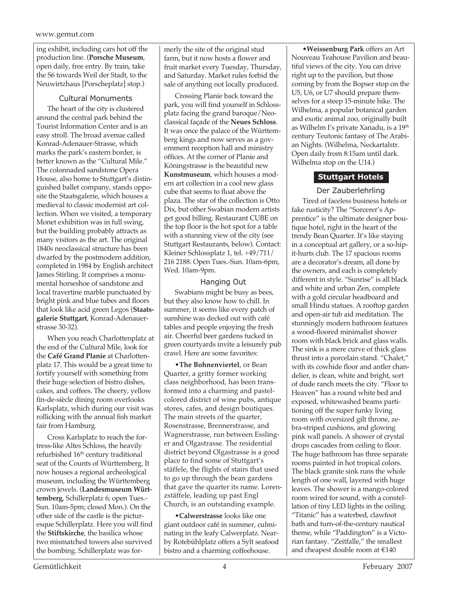ing exhibit, including cars hot off the production line. (**Porsche Museum**, open daily, free entry. By train, take the S6 towards Weil der Stadt, to the Neuwirtzhaus [Porscheplatz] stop.)

# Cultural Monuments

The heart of the city is clustered around the central park behind the Tourist Information Center and is an easy stroll. The broad avenue called Konrad-Adenauer-Strasse, which marks the park's eastern border, is better known as the "Cultural Mile." The colonnaded sandstone Opera House, also home to Stuttgart's distinguished ballet company, stands opposite the Staatsgalerie, which houses a medieval to classic modernist art collection. When we visited, a temporary Monet exhibition was in full swing, but the building probably attracts as many visitors as the art. The original 1840s neoclassical structure has been dwarfed by the postmodern addition, completed in 1984 by English architect James Stirling. It comprises a monumental horseshoe of sandstone and local travertine marble punctuated by bright pink and blue tubes and floors that look like acid green Legos (**Staatsgalerie Stuttgart**, Konrad-Adenauerstrasse 30-32).

When you reach Charlottenplatz at the end of the Cultural Mile, look for the **Café Grand Planie** at Charlottenplatz 17. This would be a great time to fortify yourself with something from their huge selection of bistro dishes, cakes, and coffees. The cheery, yellow fin-de-siècle dining room overlooks Karlsplatz, which during our visit was rollicking with the annual fish market fair from Hamburg.

Cross Karlsplatz to reach the fortress-like Altes Schloss, the heavily refurbished 16<sup>th</sup> century traditional seat of the Counts of Württemberg. It now houses a regional archeological museum, including the Württemberg crown jewels. (**Landesmuseum Württemberg**, Schillerplatz 6; open Tues.- Sun. 10am-5pm; closed Mon.). On the other side of the castle is the picturesque Schillerplatz. Here you will find the **Stiftskirche**, the basilica whose two mismatched towers also survived the bombing. Schillerplatz was formerly the site of the original stud farm, but it now hosts a flower and fruit market every Tuesday, Thursday, and Saturday. Market rules forbid the sale of anything not locally produced.

Crossing Planie back toward the park, you will find yourself in Schlossplatz facing the grand baroque/Neoclassical façade of the **Neues Schloss**. It was once the palace of the Württemberg kings and now serves as a government reception hall and ministry offices. At the corner of Planie and Köningstrasse is the beautiful new **Kunstmuseum**, which houses a modern art collection in a cool new glass cube that seems to float above the plaza. The star of the collection is Otto Dix, but other Swabian modern artists get good billing. Restaurant CUBE on the top floor is the hot spot for a table with a stunning view of the city (see Stuttgart Restaurants, below). Contact: Kleiner Schlossplatz 1, tel. +49/711/ 216 2188. Open Tues.-Sun. 10am-6pm, Wed. 10am-9pm.

## Hanging Out

Swabians might be busy as bees, but they also know how to chill. In summer, it seems like every patch of sunshine was decked out with café tables and people enjoying the fresh air. Cheerful beer gardens tucked in green courtyards invite a leisurely pub crawl. Here are some favorites:

•**The Bohnenviertel**, or Bean Quarter, a gritty former working class neighborhood, has been transformed into a charming and pastelcolored district of wine pubs, antique stores, cafes, and design boutiques. The main streets of the quarter, Rosenstrasse, Brennerstrasse, and Wagnerstrasse, run between Esslinger and Olgastrasse. The residential district beyond Olgastrasse is a good place to find some of Stuttgart's stäffele, the flights of stairs that used to go up through the bean gardens that gave the quarter its name. Lorenzstäffele, leading up past Engl Church, is an outstanding example.

•**Calwerstrasse** looks like one giant outdoor café in summer, culminating in the leafy Calwerplatz. Nearby Rotebühlplatz offers a Sylt seafood bistro and a charming coffeehouse.

•**Weissenburg Park** offers an Art Nouveau Teahouse Pavilion and beautiful views of the city. You can drive right up to the pavilion, but those coming by from the Bopser stop on the U5, U6, or U7 should prepare themselves for a steep 15-minute hike. The Wilhelma, a popular botanical garden and exotic animal zoo, originally built as Wilhelm I's private Xanadu, is a 19<sup>th</sup> century Teutonic fantasy of The Arabian Nights. (Wilhelma, Neckartalstr. Open daily from 8:15am until dark. Wilhelma stop on the U14.)

# **Stuttgart Hotels**

# Der Zauberlehrling

Tired of faceless business hotels or fake rusticity? The "Sorcerer's Apprentice" is the ultimate designer boutique hotel, right in the heart of the trendy Bean Quarter. It's like staying in a conceptual art gallery, or a so-hipit-hurts club. The 17 spacious rooms are a decorator's dream, all done by the owners, and each is completely different in style. "Sunrise" is all black and white and urban Zen, complete with a gold circular headboard and small Hindu statues. A rooftop garden and open-air tub aid meditation. The stunningly modern bathroom features a wood-floored minimalist shower room with black brick and glass walls. The sink is a mere curve of thick glass thrust into a porcelain stand. "Chalet," with its cowhide floor and antler chandelier, is clean, white and bright, sort of dude ranch meets the city. "Floor to Heaven" has a round white bed and exposed, whitewashed beams partitioning off the super funky living room with oversized gilt throne, zebra-striped cushions, and glowing pink wall panels. A shower of crystal drops cascades from ceiling to floor. The huge bathroom has three separate rooms painted in hot tropical colors. The black granite sink runs the whole length of one wall, layered with huge leaves. The shower is a mango-colored room wired for sound, with a constellation of tiny LED lights in the ceiling. "Titanic" has a waterbed, clawfoot bath and turn-of-the-century nautical theme, while "Paddington" is a Victorian fantasy. "Zeitfalle," the smallest and cheapest double room at €140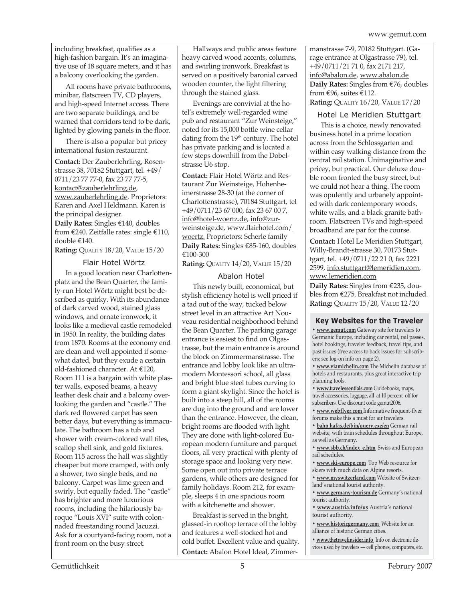including breakfast, qualifies as a high-fashion bargain. It's an imaginative use of 18 square meters, and it has a balcony overlooking the garden.

All rooms have private bathrooms, minibar, flatscreen TV, CD players, and high-speed Internet access. There are two separate buildings, and be warned that corridors tend to be dark, lighted by glowing panels in the floor.

There is also a popular but pricey international fusion restaurant.

**Contact:** Der Zauberlehrling, Rosenstrasse 38, 70182 Stuttgart, tel. +49/ 0711/23 77 77-0, fax 23 77 77-5, kontact@zauberlehrling.de, www.zauberlehrling.de. Proprietors: Karen and Axel Heldmann. Karen is the principal designer.

**Daily Rates:** Singles €140, doubles from €240. Zeitfalle rates: single €110, double €140.

**Rating:** QUALITY 18/20, VALUE 15/20

#### Flair Hotel Wörtz

In a good location near Charlottenplatz and the Bean Quarter, the family-run Hotel Wörtz might best be described as quirky. With its abundance of dark carved wood, stained glass windows, and ornate ironwork, it looks like a medieval castle remodeled in 1950. In reality, the building dates from 1870. Rooms at the economy end are clean and well appointed if somewhat dated, but they exude a certain old-fashioned character. At €120, Room 111 is a bargain with white plaster walls, exposed beams, a heavy leather desk chair and a balcony overlooking the garden and "castle." The dark red flowered carpet has seen better days, but everything is immaculate. The bathroom has a tub and shower with cream-colored wall tiles, scallop shell sink, and gold fixtures. Room 115 across the hall was slightly cheaper but more cramped, with only a shower, two single beds, and no balcony. Carpet was lime green and swirly, but equally faded. The "castle" has brighter and more luxurious rooms, including the hilariously baroque "Louis XVI" suite with colonnaded freestanding round Jacuzzi. Ask for a courtyard-facing room, not a front room on the busy street.

Hallways and public areas feature heavy carved wood accents, columns, and swirling ironwork. Breakfast is served on a positively baronial carved wooden counter, the light filtering through the stained glass.

Evenings are convivial at the hotel's extremely well-regarded wine pub and restaurant "Zur Weinsteige," noted for its 15,000 bottle wine cellar dating from the 19<sup>th</sup> century. The hotel has private parking and is located a few steps downhill from the Dobelstrasse U6 stop.

**Contact:** Flair Hotel Wörtz and Restaurant Zur Weinsteige, Hohenheimerstrasse 28-30 (at the corner of Charlottenstrasse), 70184 Stuttgart, tel +49/0711/23 67 000, fax 23 67 00 7, info@hotel-woertz.de, info@zurweinsteige.de, www.flairhotel.com/ woertz. Proprietors: Scherle family **Daily Rates:** Singles €85-160, doubles €100-300

**Rating:** QUALITY 14/20, VALUE 15/20

#### Abalon Hotel

This newly built, economical, but stylish efficiency hotel is well priced if a tad out of the way, tucked below street level in an attractive Art Nouveau residential neighborhood behind the Bean Quarter. The parking garage entrance is easiest to find on Olgastrasse, but the main entrance is around the block on Zimmermanstrasse. The entrance and lobby look like an ultramodern Montessori school, all glass and bright blue steel tubes curving to form a giant skylight. Since the hotel is built into a steep hill, all of the rooms are dug into the ground and are lower than the entrance. However, the clean, bright rooms are flooded with light. They are done with light-colored European modern furniture and parquet floors, all very practical with plenty of storage space and looking very new. Some open out into private terrace gardens, while others are designed for family holidays. Room 212, for example, sleeps 4 in one spacious room with a kitchenette and shower.

Breakfast is served in the bright, glassed-in rooftop terrace off the lobby and features a well-stocked hot and cold buffet. Excellent value and quality. **Contact:** Abalon Hotel Ideal, Zimmermanstrasse 7-9, 70182 Stuttgart. (Garage entrance at Olgastrasse 79), tel. +49/0711/21 71 0, fax 2171 217, info@abalon.de, www.abalon.de **Daily Rates:** Singles from €76, doubles from  $\epsilon$ 96, suites  $\epsilon$ 112. **Rating:** QUALITY 16/20, VALUE 17/20

# Hotel Le Meridien Stuttgart

This is a choice, newly renovated business hotel in a prime location across from the Schlossgarten and within easy walking distance from the central rail station. Unimaginative and pricey, but practical. Our deluxe double room fronted the busy street, but we could not hear a thing. The room was opulently and urbanely appointed with dark contemporary woods, white walls, and a black granite bathroom. Flatscreen TVs and high-speed broadband are par for the course.

**Contact:** Hotel Le Meridien Stuttgart, Willy-Brandt-strasse 30, 70173 Stuttgart, tel. +49/0711/22 21 0, fax 2221 2599, info.stuttgart@lemeridien.com, www.lemeridien.com

**Daily Rates:** Singles from €235, doubles from €275. Breakfast not included. **Rating:** QUALITY 15/20, VALUE 12/20

#### **Key Websites for the Traveler**

**• www.gemut.com** Gateway site for travelers to Germanic Europe, including car rental, rail passes, hotel bookings, traveler feedback, travel tips, and past issues (free access to back issues for subscribers; see log-on info on page 2).

**• www.viamichelin.com** The Michelin database of hotels and restaurants, plus great interactive trip planning tools.

**• www.travelessentials.com** Guidebooks, maps, travel accessories, luggage, all at 10 percent off for subscribers. Use discount code gemut2006.

**• www.webflyer.com** Informative frequent-flyer forums make this a must for air travelers.

**• bahn.hafas.de/bin/query.exe/en** German rail website, with train schedules throughout Europe, as well as Germany.

**• www.sbb.ch/index\_e.htm** Swiss and European rail schedules.

**• www.ski-europe.com** Top Web resource for skiers with much data on Alpine resorts.

**• www.myswitzerland.com** Website of Switzerland's national tourist authority.

**• www.germany-tourism.de** Germany's national tourist authority.

**• www.austria.info/us** Austria's national tourist authority.

**• www.historicgermany.com** Website for an alliance of historic German cities.

**• www.thetravelinsider.info** Info on electronic devices used by travelers — cell phones, computers, etc.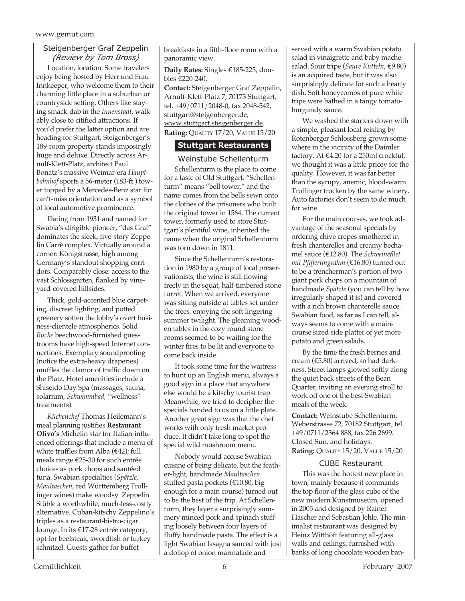#### Steigenberger Graf Zeppelin *(Review by Tom Bross)*

Location, location. Some travelers enjoy being hosted by Herr und Frau Innkeeper, who welcome them to their charming little place in a suburban or countryside setting. Others like staying smack-dab in the *Innenstadt*, walkably close to citified attractions. If you'd prefer the latter option and are heading for Stuttgart, Steigenberger's 189-room property stands imposingly huge and deluxe. Directly across Arnulf-Klett-Platz, architect Paul Bonatz's massive Weimar-era *Hauptbahnhof* sports a 56-meter (183-ft.) tower topped by a Mercedes-Benz star for can't-miss orientation and as a symbol of local automotive prominence.

Dating from 1931 and named for Swabia's dirigible pioneer, "das Graf" dominates the sleek, five-story Zeppelin Carrè complex. Virtually around a corner: Königstrasse, high among Germany's standout shopping corridors. Comparably close: access to the vast Schlossgarten, flanked by vineyard-covered hillsides.

Thick, gold-accented blue carpeting, discreet lighting, and potted greenery soften the lobby's overt business-clientele atmospherics. Solid *Buche* beechwood-furnished guestrooms have high-speed Internet connections. Exemplary soundproofing (notice the extra-heavy draperies) muffles the clamor of traffic down on the Platz. Hotel amenities include a Shiseido Day Spa (massages, sauna, solarium, *Schwimmbad*, "wellness" treatments).

*Küchenchef* Thomas Heilemann's meal planning justifies **Restaurant Olivo's** Michelin star for Italian-influenced offerings that include a menu of white truffles from Alba (€42); full meals range €25-30 for such entrée choices as pork chops and sautéed tuna. Swabian specialties (*Spätzle*, *Maultaschen*, red Württemberg Trollinger wines) make woodsy Zeppelin Stüble a worthwhile, much-less-costly alternative. Cuban-kitschy Zeppelino's triples as a restaurant-bistro-cigar lounge. In its €17-28 entrée category, opt for beefsteak, swordfish or turkey schnitzel. Guests gather for buffet

breakfasts in a fifth-floor room with a panoramic view.

**Daily Rates:** Singles €185-225, doubles €220-240.

**Contact:** Steigenberger Graf Zeppelin, Arnulf-Klett-Platz 7, 70173 Stuttgart, tel. +49/0711/2048-0, fax 2048-542, stuttgart@steigenberger.de, www.stuttgart.steigenberger.de. **Rating:** QUALITY 17/20, VALUE 15/20

# **Stuttgart Restaurants**

Weinstube Schellenturm Schellenturm is the place to come for a taste of Old Stuttgart. "Schellenturm" means "bell tower," and the name comes from the bells sewn onto the clothes of the prisoners who built the original tower in 1564. The current tower, formerly used to store Stuttgart's plentiful wine, inherited the name when the original Schellenturm was torn down in 1811.

Since the Schellenturm's restoration in 1980 by a group of local preservationists, the wine is still flowing freely in the squat, half-timbered stone turret. When we arrived, everyone was sitting outside at tables set under the trees, enjoying the soft lingering summer twilight. The gleaming wooden tables in the cozy round stone rooms seemed to be waiting for the winter fires to be lit and everyone to come back inside.

It took some time for the waitress to hunt up an English menu, always a good sign in a place that anywhere else would be a kitschy tourist trap. Meanwhile, we tried to decipher the specials handed to us on a little plate. Another great sign was that the chef works with only fresh market produce. It didn't take long to spot the special wild mushroom menu.

Nobody would accuse Swabian cuisine of being delicate, but the feather-light, handmade *Maultaschen* stuffed pasta pockets (€10.80, big enough for a main course) turned out to be the best of the trip. At Schellenturm, they layer a surprisingly summery minced pork and spinach stuffing loosely between four layers of fluffy handmade pasta. The effect is a light Swabian lasagna sauced with just a dollop of onion marmalade and

served with a warm Swabian potato salad in vinaigrette and baby mache salad. Sour tripe (*Saure Kutteln*, €9.80) is an acquired taste, but it was also surprisingly delicate for such a hearty dish. Soft honeycombs of pure white tripe were bathed in a tangy tomatoburgundy sauce.

We washed the starters down with a simple, pleasant local reisling by Rotenberger Schlossberg grown somewhere in the vicinity of the Daimler factory. At €4.20 for a 250ml crockful, we thought it was a little pricey for the quality. However, it was far better than the syrupy, anemic, blood-warm Trollinger trocken by the same winery. Auto factories don't seem to do much for wine.

For the main courses, we took advantage of the seasonal specials by ordering chive crepes smothered in fresh chanterelles and creamy bechamel sauce (€12.80). The *Schweinefilet mit Pfifferlingrahm* (€16.80) turned out to be a trencherman's portion of two giant pork chops on a mountain of handmade *Spätzle* (you can tell by how irregularly shaped it is) and covered with a rich brown chanterelle sauce. Swabian food, as far as I can tell, always seems to come with a maincourse sized side platter of yet more potato and green salads.

By the time the fresh berries and cream (€5.80) arrived, so had darkness. Street lamps glowed softly along the quiet back streets of the Bean Quarter, inviting an evening stroll to work off one of the best Swabian meals of the week.

**Contact:** Weinstube Schellenturm, Weberstrasse 72, 70182 Stuttgart, tel. +49/0711/2364 888, fax 226 2699. Closed Sun. and holidays. **Rating:** QUALITY 15/20, VALUE 15/20

#### CUBE Restaurant

This was the hottest new place in town, mainly because it commands the top floor of the glass cube of the new modern Kunstmuseum, opened in 2005 and designed by Rainer Hascher and Sebastian Jehle. The minimalist restaurant was designed by Heinz Witthöft featuring all-glass walls and ceilings, furnished with banks of long chocolate wooden ban-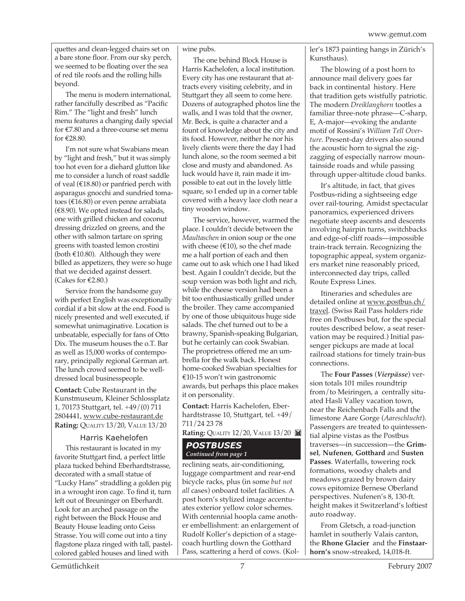quettes and clean-legged chairs set on a bare stone floor. From our sky perch, we seemed to be floating over the sea of red tile roofs and the rolling hills beyond.

The menu is modern international, rather fancifully described as "Pacific Rim." The "light and fresh" lunch menu features a changing daily special for €7.80 and a three-course set menu for €28.80.

I'm not sure what Swabians mean by "light and fresh," but it was simply too hot even for a diehard glutton like me to consider a lunch of roast saddle of veal (€18.80) or panfried perch with asparagus gnocchi and sundried tomatoes (€16.80) or even penne arrabiata  $(\text{\textsterling}8.90)$ . We opted instead for salads, one with grilled chicken and coconut dressing drizzled on greens, and the other with salmon tartare on spring greens with toasted lemon crostini (both  $£10.80$ ). Although they were billed as appetizers, they were so huge that we decided against dessert. (Cakes for €2.80.)

Service from the handsome guy with perfect English was exceptionally cordial if a bit slow at the end. Food is nicely presented and well executed, if somewhat unimaginative. Location is unbeatable, especially for fans of Otto Dix. The museum houses the o.T. Bar as well as 15,000 works of contemporary, principally regional German art. The lunch crowd seemed to be welldressed local businesspeople.

**Contact:** Cube Restaurant in the Kunstmuseum, Kleiner Schlossplatz 1, 70173 Stuttgart, tel. +49/(0) 711 2804441, www.cube-restaurant.de **Rating:** QUALITY 13/20, VALUE 13/20

#### Harris Kaehelofen

This restaurant is located in my favorite Stuttgart find, a perfect little plaza tucked behind Eberhardtstrasse, decorated with a small statue of "Lucky Hans" straddling a golden pig in a wrought iron cage. To find it, turn left out of Breuninger on Eberhardt. Look for an arched passage on the right between the Block House and Beauty House leading onto Geiss Strasse. You will come out into a tiny flagstone plaza ringed with tall, pastelcolored gabled houses and lined with

wine pubs.

The one behind Block House is Harris Kachelofen, a local institution. Every city has one restaurant that attracts every visiting celebrity, and in Stuttgart they all seem to come here. Dozens of autographed photos line the walls, and I was told that the owner, Mr. Beck, is quite a character and a fount of knowledge about the city and its food. However, neither he nor his lively clients were there the day I had lunch alone, so the room seemed a bit close and musty and abandoned. As luck would have it, rain made it impossible to eat out in the lovely little square, so I ended up in a corner table covered with a heavy lace cloth near a tiny wooden window.

The service, however, warmed the place. I couldn't decide between the *Maultaschen* in onion soup or the one with cheese ( $\in$ 10), so the chef made me a half portion of each and then came out to ask which one I had liked best. Again I couldn't decide, but the soup version was both light and rich, while the cheese version had been a bit too enthusiastically grilled under the broiler. They came accompanied by one of those ubiquitous huge side salads. The chef turned out to be a brawny, Spanish-speaking Bulgarian, but he certainly can cook Swabian. The proprietress offered me an umbrella for the walk back. Honest home-cooked Swabian specialties for €10-15 won't win gastronomic awards, but perhaps this place makes it on personality.

**Contact:** Harris Kachelofen, Eberhardtstrasse 10, Stuttgart, tel. +49/ 711/24 23 78

**Rating:** QUALITY 12/20, VALUE 13/20

#### *POSTBUSES Continued from page 1*

reclining seats, air-conditioning, luggage compartment and rear-end bicycle racks, plus (in some *but not all* cases) onboard toilet facilities. A post horn's stylized image accentuates exterior yellow color schemes. With centennial hoopla came another embellishment: an enlargement of Rudolf Koller's depiction of a stagecoach hurtling down the Gotthard Pass, scattering a herd of cows. (Koller's 1873 painting hangs in Zürich's Kunsthaus).

The blowing of a post horn to announce mail delivery goes far back in continental history. Here that tradition gets wistfully patriotic. The modern *Dreiklanghorn* tootles a familiar three-note phrase—C-sharp, E, A-major—evoking the andante motif of Rossini's *William Tell Overture*. Present-day drivers also sound the acoustic horn to signal the zigzagging of especially narrow mountainside roads and while passing through upper-altitude cloud banks.

It's altitude, in fact, that gives Postbus-riding a sightseeing edge over rail-touring. Amidst spectacular panoramics, experienced drivers negotiate steep ascents and descents involving hairpin turns, switchbacks and edge-of-cliff roads—impossible train-track terrain. Recognizing the topographic appeal, system organizers market nine reasonably priced, interconnected day trips, called Route Express Lines.

Itineraries and schedules are detailed online at www.postbus.ch/ travel. (Swiss Rail Pass holders ride free on Postbuses but, for the special routes described below, a seat reservation may be required.) Initial passenger pickups are made at local railroad stations for timely train-bus connections.

The **Four Passes** (*Vierpässe*) version totals 101 miles roundtrip from/to Meiringen, a centrally situated Hasli Valley vacation town, near the Reichenbach Falls and the limestone Aare Gorge (*Aareschlucht*). Passengers are treated to quintessential alpine vistas as the Postbus traverses—in succession—the **Grimsel**, **Nufenen**, **Gotthard** and **Susten Passes**. Waterfalls, towering rock formations, woodsy chalets and meadows grazed by brown dairy cows epitomize Bernese Oberland perspectives. Nufenen's 8, 130-ft. height makes it Switzerland's loftiest auto roadway.

From Gletsch, a road-junction hamlet in southerly Valais canton, the **Rhone Glacier** and the **Finstaarhorn's** snow-streaked, 14,018-ft.